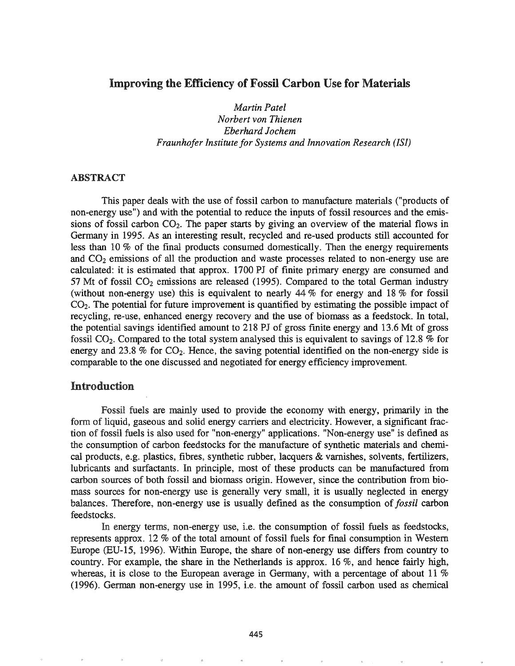## Improving the Efficiency of Fossil Carbon Use for Materials

*Martin Patel Norbert von Thienen Eberhard Jochem Fraunhofer Institute for Systems and Innovation Research (lSI)*

#### ABSTRACT

This paper deals with the use of fossil carbon to manufacture materials ("products of non-energy use") and with the potential to reduce the inputs of fossil resources and the emissions of fossil carbon  $CO<sub>2</sub>$ . The paper starts by giving an overview of the material flows in Germany in 1995. As an interesting result, recycled and re-used products still accounted for less than 10 % of the final products consumed domestically. Then the energy requirements and  $CO<sub>2</sub>$  emissions of all the production and waste processes related to non-energy use are calculated: it is estimated that approx. 1700 PJ of finite primary energy are consumed and 57 Mt of fossil  $CO<sub>2</sub>$  emissions are released (1995). Compared to the total German industry (without non-energy use) this is equivalent to nearly  $44\%$  for energy and  $18\%$  for fossil  $CO<sub>2</sub>$ . The potential for future improvement is quantified by estimating the possible impact of recycling, re-use, enhanced energy recovery and the use of biomass as a feedstock. In total, the potential savings identified amount to 218 PJ of gross [mite energy and 13.6 Mt of gross fossil  $CO<sub>2</sub>$ . Compared to the total system analysed this is equivalent to savings of 12.8 % for energy and 23.8 % for  $CO<sub>2</sub>$ . Hence, the saving potential identified on the non-energy side is comparable to the one discussed and negotiated for energy efficiency improvement

#### Introduction

Fossil fuels are mainly used to provide the economy with energy, primarily in the form of liquid, gaseous and solid energy carriers and electricity. However, a significant fraction of fossil fuels is also used for "non-energy" applications. "Non-energy use" is defined as consumption of carbon feedstocks for the manufacture of synthetic materials and chemical products, e.g. plastics, fibres, synthetic rubber, lacquers & varnishes, solvents, fertilizers, lubricants and surfactants. In principle, most of these products can be manufactured from carbon sources of both fossil and biomass origin. However, since the contribution from biomass sources for non-energy use is generally very small, it is usually neglected in energy balances. Therefore, non-energy use is usually defmed as the consumption of *fossil* carbon feedstocks.

In energy terms, non-energy use, i.e. the consumption of fossil fuels as feedstocks, represents approx. 12 % of the total amount of fossil fuels for final consumption in Western Europe (ED-I5, 1996). Within Europe, the share of non-energy use differs from country to country. For example, the share in the Netherlands is approx. 16 %, and hence fairly high, whereas, it is close to the European average in Germany, with a percentage of about 11  $%$ (1996). German non-energy use in 1995, i.e. the amount of fossil carbon used as chemical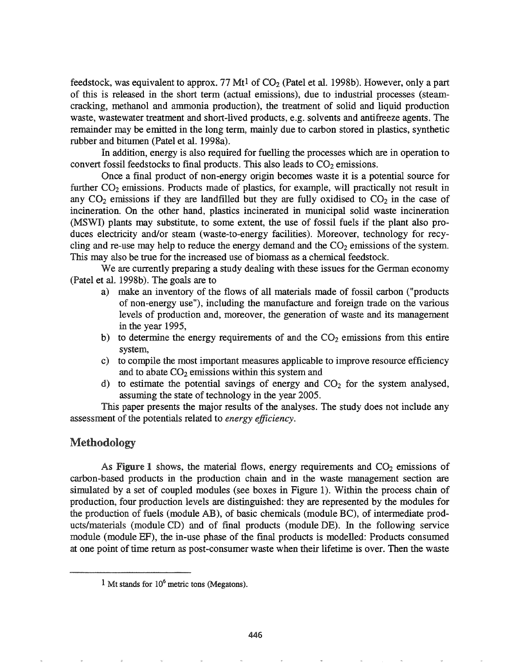feedstock, was equivalent to approx. 77 Mt<sup>1</sup> of  $CO<sub>2</sub>$  (Patel et al. 1998b). However, only a part of this is released in the short term (actual emissions), due to industrial processes (steamcracking, methanol and ammonia production), the treatment of solid and liquid production waste, wastewater treatment and short-lived products, e.g. solvents and antifreeze agents. The remainder may be emitted in the long term, mainly due to carbon stored in plastics, synthetic rubber and bitumen (Patel et al. 1998a).

In addition, energy is also required for fuelling the processes which are in operation to convert fossil feedstocks to final products. This also leads to  $CO<sub>2</sub>$  emissions.

Once a final product of non-energy origin becomes waste it is a potential source for further  $CO<sub>2</sub>$  emissions. Products made of plastics, for example, will practically not result in any  $CO<sub>2</sub>$  emissions if they are landfilled but they are fully oxidised to  $CO<sub>2</sub>$  in the case of incineration. On the other hand, plastics incinerated in municipal solid waste incineration (MSWI) plants may substitute, to some extent, the use of fossil fuels if the plant also produces electricity and/or steam (waste-to-energy facilities). Moreover, technology for recycling and re-use may help to reduce the energy demand and the  $CO<sub>2</sub>$  emissions of the system. This may also be true for the increased use of biomass as a chemical feedstock.

We are currently preparing a study dealing with these issues for the German economy (Patel et al. 1998b). The goals are to

- a) make an inventory of the flows of all materials made of fossil carbon ("products of non-energy use"), including the manufacture and foreign trade on the various levels of production and, moreover, the generation of waste and its management in the year 1995,
- b) to determine the energy requirements of and the  $CO<sub>2</sub>$  emissions from this entire system,
- c) to compile the most important measures applicable to improve resource efficiency and to abate  $CO<sub>2</sub>$  emissions within this system and
- d) to estimate the potential savings of energy and  $CO<sub>2</sub>$  for the system analysed, assuming the state of technology in the year 2005.

This paper presents the major results of the analyses. The study does not include any assessment of the potentials related to *energy efficiency*.

## Methodology

As Figure 1 shows, the material flows, energy requirements and  $CO<sub>2</sub>$  emissions of carbon-based products in the production chain and in the waste management section are simulated by a set of coupled modules (see boxes in Figure 1). Within the process chain of production, four production levels are distinguished: they are represented by the modules for the production of fuels (module AB), of basic chemicals (module BC), of intermediate products/materials (module CD) and of final products (module DE). In the following service module (module EF), the in-use phase of the final products is modelled: Products consumed at one point of time return as post-consumer waste when their lifetime is over. Then the waste

<sup>&</sup>lt;sup>1</sup> Mt stands for  $10<sup>6</sup>$  metric tons (Megatons).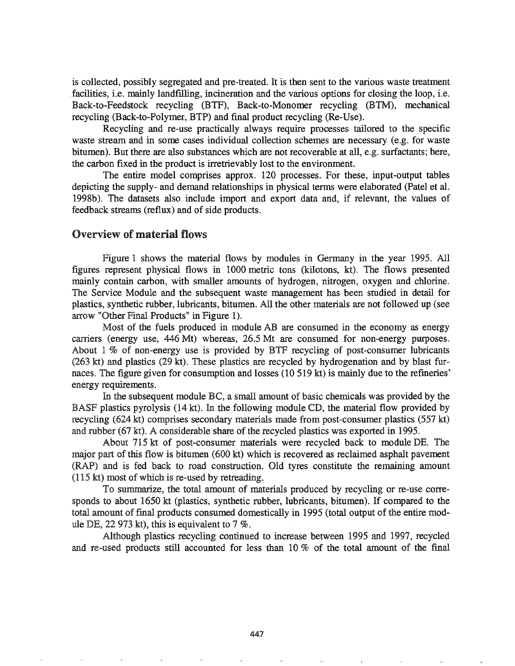is collected, possibly segregated and pre-treated. It is then sent to the various waste treatment .facilities, i.e. mainly landfilling, incineration and the various options for closing the loop, i.e. Back-to-Feedstock recycling (BTF), Back-to-Monomer recycling (BTM), mechanical recycling (Back-to-Polymer, BTP) and final product recycling (Re-Use).

Recycling and re-use practically always require processes tailored to the specific waste stream and in some cases individual collection schemes are necessary (e.g. for waste bitumen). But there are also substances which are not recoverable at all, e.g. surfactants; here, the carbon fixed in the product is irretrievably lost to the environment.

The entire model comprises approx. 120 processes. For these, input-output tables depicting the supply- and demand relationships in physical terms were elaborated (Patel et al. 1998b). The datasets also include import and export data and, if relevant, the values of feedback streams (reflux) and of side products.

#### Overview of material flows

Figure 1 shows the material flows by modules in Germany in the year 1995. All figures represent physical flows in 1000 metric tons (kilotons, kt). The flows presented mainly contain carbon, with smaller amounts of hydrogen, nitrogen, oxygen and chlorine. The Service Module and the subsequent waste management has been studied in detail for plastics, synthetic rubber, lubricants, bitumen. All the other materials are not followed up (see arrow "Other Final Products" in Figure 1).

Most of the fuels produced in module AB are consumed in the economy as energy carriers (energy use, 446 Mt) whereas, 26.5 Mt are consumed for non-energy purposes. About 1 % of non-energy use is provided by BTF recycling of post-consumer lubricants (263 kt) and plastics (29 kt). These plastics are recycled by hydrogenation and by blast furnaces. The figure given for consumption and losses (10 519 kt) is mainly due to the refineries' energy requirements.

In the subsequent module BC, a small amount of basic chemicals was provided by the BASF plastics pyrolysis (14 kt). In the following module CD, the material flow provided by recycling (624 kt) comprises secondary materials made from post-consumer plastics (557 kt) and rubber (67 kt). A considerable share of the recycled plastics was exported in 1995.

About 715 kt of post-consumer materials were recycled back to module DE. The major part of this flow is bitumen (600 kt) which is recovered as reclaimed asphalt pavement (RAP) and is fed back to road construction. Old tyres constitute the remaining amount  $(115 \text{ kt})$  most of which is re-used by retreading.

To summarize, the total amount of materials produced by recycling or re-use corresponds to about 1650 kt (plastics, synthetic rubber, lubricants, bitumen). If compared to the total amount of final products consumed domestically in 1995 (total output of the entire module DE, 22 973 kt), this is equivalent to 7 %.

Although plastics recycling continued to increase between 1995 and 1997, recycled and re-used products still accounted for less than 10 % of the total amount of the final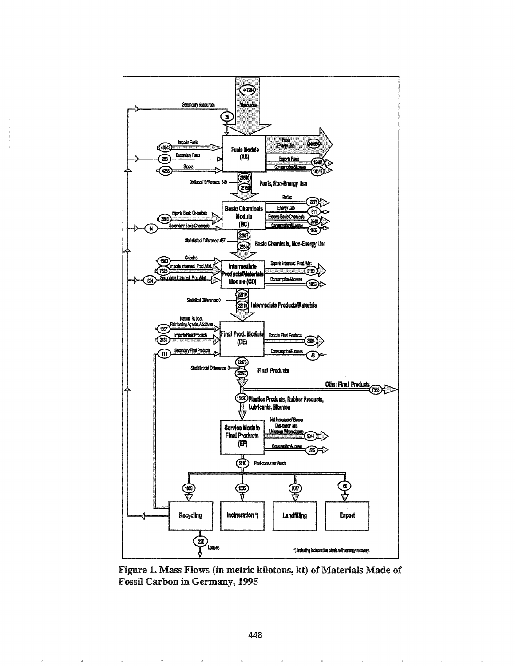

Figure 1. Mass Flows (in metric kilotons, kt) of Materials Made of Fossil Carbon in Germany, 1995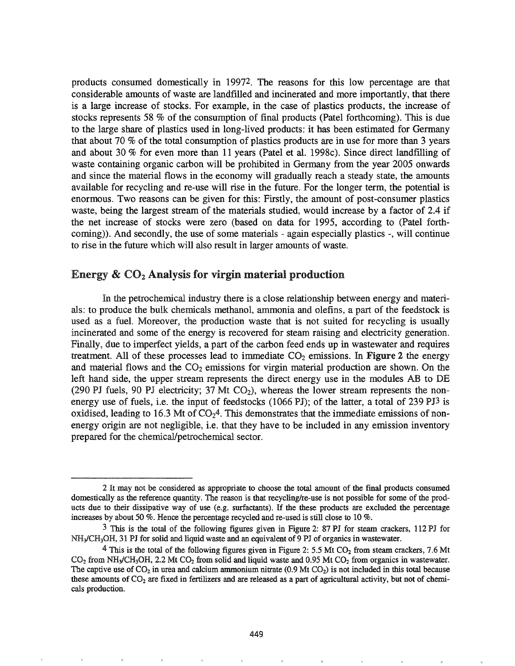products consumed domestically in 19972. The reasons for this low percentage are that considerable amounts of waste are landfilled and incinerated and more importantly, that there is a large increase of stocks. For example, in the case of plastics products, the increase of stocks represents 58 % of the consumption of final products (Patel forthcoming). This is due to the large share of plastics used in long-lived products: it has been estimated for Germany that about 70 % of the total consumption of plastics products are in use for more than 3 years and about 30  $%$  for even more than 11 years (Patel et al. 1998c). Since direct landfilling of waste containing organic carbon will be prohibited in Germany from the year 2005 onwards and since the material flows in the economy will gradually reach a steady state, the amounts available for recycling and re-use will rise in the future. For the longer term, the potential is enormous. Two reasons can be given for this: Firstly, the amount of post-consumer plastics waste, being the largest stream of the materials studied, would increase by a factor of 2.4 if the net increase of stocks were zero (based on data for 1995, according to (Patel forthcoming)). And secondly, the use of some materials - again especially plastics -, will continue to rise in the future which will also result in larger amounts of waste.

### Energy  $\&$  CO<sub>2</sub> Analysis for virgin material production

In the petrochemical industry there is a close relationship between energy and materials: to produce the bulk chemicals methanol, ammonia and olefins, a part of the feedstock is used as a fuel. Moreover, the production waste that is not suited for recycling is usually incinerated and some of the energy is recovered for steam raising and electricity generation. Finally, due to imperfect yields, a part of the carbon feed ends up in wastewater and requires treatment. All of these processes lead to immediate  $CO<sub>2</sub>$  emissions. In Figure 2 the energy and material flows and the  $CO<sub>2</sub>$  emissions for virgin material production are shown. On the left hand side, the upper stream represents the direct energy use in the modules AB to DE (290 PJ fuels, 90 PJ electricity; 37 Mt  $CO<sub>2</sub>$ ), whereas the lower stream represents the nonenergy use of fuels, i.e. the input of feedstocks (1066 PJ); of the latter, a total of 239 PJ3 is oxidised, leading to 16.3 Mt of  $CO<sub>2</sub>4$ . This demonstrates that the immediate emissions of nonenergy origin are not negligible, i.e. that they have to be included in any emission inventory prepared for the chemical/petrochemical sector.

<sup>2</sup> It may not be considered as appropriate to choose the total amount of the final products consumed domestically as the reference quantity. The reason is that recycling/re-use is not possible for some of the products due to their dissipative way of use (e.g. surfactants). If the these products are excluded the percentage increases by about 50 %. Hence the percentage recycled and re-used is still close to 10 %.

<sup>3</sup> This is the total of the following figures given in Figure 2: 87 PJ for steam crackers, 112 PI for NH<sub>2</sub>/CH<sub>3</sub>OH, 31 PJ for solid and liquid waste and an equivalent of 9 PJ of organics in wastewater.

 $4$  This is the total of the following figures given in Figure 2: 5.5 Mt CO<sub>2</sub> from steam crackers, 7.6 Mt  $CO_2$  from NH<sub>3</sub>/CH<sub>3</sub>OH, 2.2 Mt CO<sub>2</sub> from solid and liquid waste and 0.95 Mt CO<sub>2</sub> from organics in wastewater. The captive use of  $CO_2$  in urea and calcium ammonium nitrate (0.9 Mt  $CO_2$ ) is not included in this total because these amounts of  $CO<sub>2</sub>$  are fixed in fertilizers and are released as a part of agricultural activity, but not of chemicals production.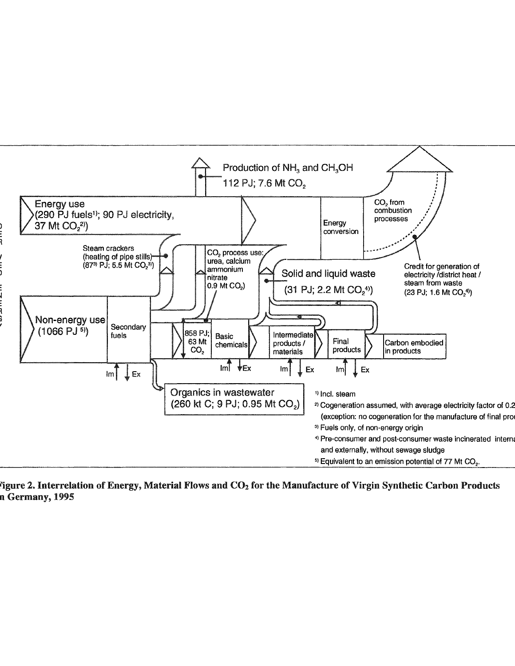

Figure 2. Interrelation of Energy, Material Flows and  $CO<sub>2</sub>$  for the Manufacture of Virgin Synthetic Carbon Products n Germany, 1995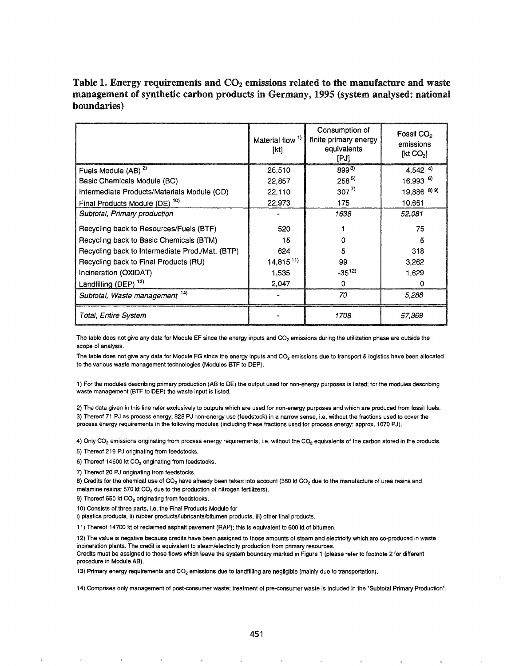# Table 1. Energy requirements and  $CO<sub>2</sub>$  emissions related to the manufacture and waste management of synthetic carbon products in Germany, 1995 (system analysed: national boundaries)

|                                                 | Material flow <sup>1)</sup><br>[kt] | Consumption of<br>finite primary energy<br>equivalents<br>[PJ] | Fossil CO <sub>2</sub><br>emissions<br>[kt CO <sub>2</sub> ] |
|-------------------------------------------------|-------------------------------------|----------------------------------------------------------------|--------------------------------------------------------------|
| Fuels Module (AB) <sup>2)</sup>                 | 26,510                              | $899^{3}$                                                      | $4,542$ <sup>4)</sup>                                        |
| Basic Chemicals Module (BC)                     | 22,857                              | $258^{5}$                                                      | $16,993$ <sup>6)</sup>                                       |
| Intermediate Products/Materials Module (CD)     | 22,110                              | $307^{7}$                                                      | 19,886 8) 9)                                                 |
| Final Products Module (DE) <sup>10)</sup>       | 22,973                              | 175                                                            | 10,661                                                       |
| Subtotal, Primary production                    |                                     | 1638                                                           | 52,081                                                       |
| Recycling back to Resources/Fuels (BTF)         | 520                                 |                                                                | 75                                                           |
| Recycling back to Basic Chemicals (BTM)         | 15                                  | o                                                              | 5                                                            |
| Recycling back to Intermediate Prod./Mat. (BTP) | 624                                 | 5                                                              | 318                                                          |
| Recycling back to Final Products (RU)           | $14,815^{11}$                       | 99                                                             | 3,262                                                        |
| Incineration (OXIDAT)                           | 1,535                               | $-35^{12}$                                                     | 1,629                                                        |
| Landfilling (DEP) <sup>13)</sup>                | 2.047                               | 0                                                              | Ω                                                            |
| Subtotal, Waste management 14)                  |                                     | 70                                                             | 5,288                                                        |
| Total, Entire System                            |                                     | 1708                                                           | 57.369                                                       |

The table does not give any data for Module EF since the energy inputs and CO<sub>2</sub> emissions during the utilization phase are outside the scope of analysis.

The table does not give any data for Module FG since the energy inputs and CO<sub>2</sub> emissions due to transport & logistics have been allocated to the various waste management technologies (Modules BTF to OEP).

1) For the modules describing primary production (AB to OE) the output used for non-energy purposes is listed; for the modules describing waste management (BTF to OEP) the waste input is listed.

2) The data given in this line refer exclusively to outputs which are used for non-energy purposes and which are produced from fossil fuels. 3) Thereof 71 PJ as process energy; 828 PJ non-energy use (feedstock) in a narrow sense, Le. without the fractions used to cover the process energy requirements in the following modules (including these fractions used for process energy: approx. 1070 PJ).

4) Only CO<sub>2</sub> emissions originating from process energy requirements, i.e. without the CO<sub>2</sub> equivalents of the carbon stored in the products.

5) Thereof 219 PJ originating from feedstocks.

6) Thereof 14600 kt  $CO<sub>2</sub>$  originating from feedstocks.

7) Thereof 20 PJ originating from feedstocks.

8) Credits for the chemical use of CO<sub>2</sub> have already been taken into account (360 kt CO<sub>2</sub> due to the manufacture of urea resins and melamine resins; 570 kt  $CO<sub>2</sub>$  due to the production of nitrogen fertilizers).

9) Thereof 650 kt CO<sub>2</sub> originating from feedstocks.

10) Consists of three parts, i.e. the Final Products Module for

i) plastics products, ii) rubber products/lubricants/bitumen products, iii) other final products.

11) Thereof 14700 kt of redaimed asphalt pavement (RAP); this is equivalent to 600 kt of bitumen.

12) The value is negative because credits have been assigned to those amounts of steam and electricity which are co-produced in waste incineration plants. The credit is equivalent to steam/electricity production from primary resources.

Credits must be assigned to those flows which leave the system boundary marked in Figure 1 (please refer to footnote 2 for different procedure in Module AB).

13) Primary energy requirements and CO<sup>2</sup> emissions due to landfilling are negligible (mainly due to transportation).

14) Comprises only management of post-consumer waste; treatment of pre-consumer waste is included in the "Subtotal Primary Production".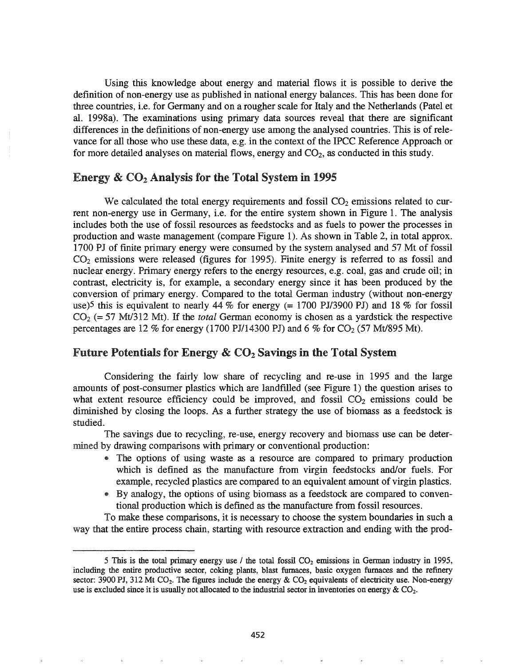Using this knowledge about energy and material flows it is possible to derive the definition of non-energy use as published in national energy balances. This has been done for three countries, i.e. for Germany and on a rougher scale for Italy and the Netherlands (Patel et al. 1998a). The examinations using primary data sources reveal that there are significant differences in the definitions of non-energy use among the analysed countries. This is of relevance for all those who use these data, e.g. in the context of the IPCC Reference Approach or for more detailed analyses on material flows, energy and  $CO<sub>2</sub>$ , as conducted in this study.

### Energy  $\&$  CO<sub>2</sub> Analysis for the Total System in 1995

We calculated the total energy requirements and fossil  $CO<sub>2</sub>$  emissions related to current non-energy use in Germany, i.e. for the entire system shown in Figure 1. The analysis includes both the use of fossil resources as feedstocks and as fuels to power the processes in production and waste management (compare Figure 1). As shown in Table 2, in total approx. 1700 PJ of finite primary energy were consumed by the system analysed and 57 Mt of fossil  $CO<sub>2</sub>$  emissions were released (figures for 1995). Finite energy is referred to as fossil and nuclear energy. Primary energy refers to the energy resources, e.g. coal, gas and crude oil; in contrast, electricity is, for example, a secondary energy since it has been produced by the conversion of primary energy. Compared to the total German industry (without non-energy use)5 this is equivalent to nearly 44 % for energy (= 1700 PJ/3900 *PI)* and 18 % for fossil  $CO<sub>2</sub> (= 57 Mt/312 Mt)$ . If the *total* German economy is chosen as a yardstick the respective percentages are 12 % for energy (1700 PJ/14300 PJ) and 6 % for  $CO_2$  (57 Mt/895 Mt).

# Future Potentials for Energy  $\&$  CO<sub>2</sub> Savings in the Total System

Considering the fairly low share of recycling and re-use in 1995 and the large amounts of post-consumer plastics which are landfl1led (see Figure 1) the question arises to what extent resource efficiency could be improved, and fossil  $CO<sub>2</sub>$  emissions could be diminished by closing the loops. As a further strategy the use of biomass as a feedstock is studied.

The savings due to recycling, re-use, energy recovery and biomass use can be determined by drawing comparisons with primary or conventional production:

- The options of using waste as a resource are compared to primary production which is defined as the manufacture from virgin feedstocks and/or fuels. For example, recycled plastics are compared to an equivalent amount of virgin plastics.
- @ By analogy, the options of using biomass as a feedstock are compared to conventional production which is defmed as the manufacture from fossil resources.

To make these comparisons, it is necessary to choose the system boundaries in such a way that the entire process chain, starting with resource extraction and ending with the prod-

<sup>5</sup> This is the total primary energy use / the total fossil  $CO<sub>2</sub>$  emissions in German industry in 1995, including the entire productive sector, coking plants, blast furnaces, basic oxygen furnaces and the refinery sector: 3900 PJ, 312 Mt CO<sub>2</sub>. The figures include the energy  $\&$  CO<sub>2</sub> equivalents of electricity use. Non-energy use is excluded since it is usually not allocated to the industrial sector in inventories on energy  $& CO<sub>2</sub>$ .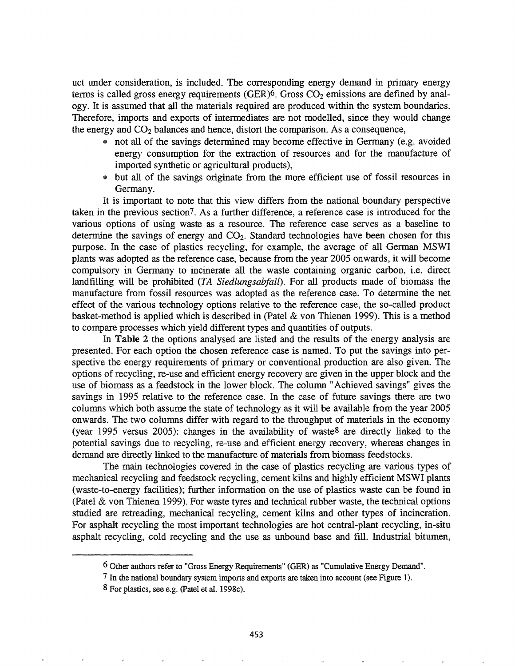uct under consideration, is included. The corresponding energy demand in primary energy terms is called gross energy requirements (GER) $6$ . Gross CO<sub>2</sub> emissions are defined by analogy. It is assumed that all the materials required are produced within the system boundaries. Therefore, imports and exports of intermediates are not modelled, since they would change the energy and  $CO<sub>2</sub>$  balances and hence, distort the comparison. As a consequence,

- not all of the savings determined may become effective in Germany (e.g. avoided energy consumption for the extraction of resources and for the manufacture of imported synthetic or agricultural products),
- .. but all of the savings originate from the more efficient use of fossil resources in Germany.

It is important to note that this view differs from the national boundary perspective taken in the previous section7. As a further difference, a reference case is introduced for the various options of using waste as a resource. The reference case serves as a baseline to determine the savings of energy and  $CO<sub>2</sub>$ . Standard technologies have been chosen for this purpose. In the case of plastics recycling, for example, the average of all German MSWI plants was adopted as the reference case, because from the year 2005 onwards, it will become compulsory in Germany to incinerate all the waste containing organic carbon, i.e. direct landfilling will be prohibited *(TA Siedlungsabfall).* For all products made of biomass the manufacture from fossil resources was adopted as the reference case. To determine the net effect of the various technology options relative to the reference case, the so-called product basket-method is applied which is described in (Patel & von Thienen 1999). This is a method to compare processes which yield different types and quantities of outputs.

In Table 2 the options analysed are listed and the results of the energy analysis are presented. For each option the chosen reference case is named. To put the savings into perspective the energy requirements of primary or conventional production are also given. The options of recycling, re-use and efficient energy recovery are given in the upper block and the use of biomass as a feedstock in the lower block. The column "Achieved savings" gives the savings in 1995 relative to the reference case. In the case of future savings there are two columns which both assume the state of technology as it will be available from the year 2005 onwards. The two columns differ with regard to the throughput of materials in the economy (year 1995 versus 2005): changes in the availability of waste8 are directly linked to the potential savings due to recycling, re-use and efficient energy recovery, whereas changes in demand are directly linked to the manufacture of materials from biomass feedstocks.

The main technologies covered in the case of plastics recycling are various types of mechanical recycling and feedstock recycling, cement kilns and highly efficient MSWI plants (waste-to-energy facilities); further information on the use of plastics waste can be found in (Patel & von Thienen 1999). For waste tyres and technical rubber waste, the technical options studied are retreading, mechanical recycling, cement kilns and other types of incineration. For asphalt recycling the most important technologies are hot central-plant recycling, in-situ asphalt recycling, cold recycling and the use as unbound base and fill. Industrial bitumen,

<sup>6</sup> Other authors refer to "Gross Energy Requirements" (GER) as "Cumulative Energy Demand".

<sup>7</sup> In the national boundary system imports and exports are taken into account (see Figure 1).

<sup>8</sup> For plastics, see e.g. (Patel et al. 1998c).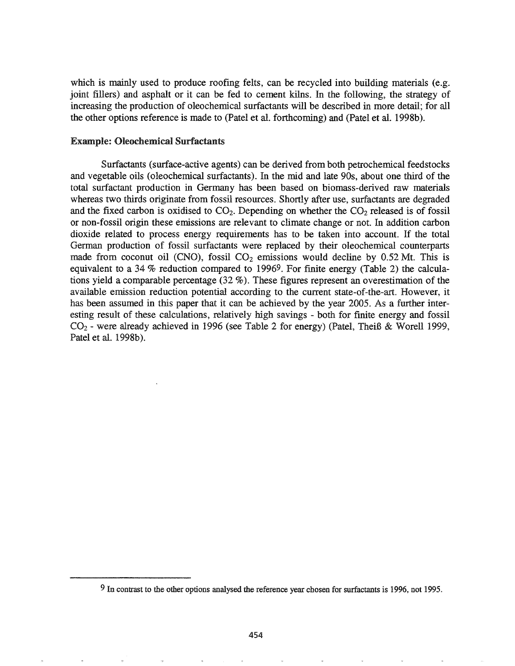which is mainly used to produce roofing felts, can be recycled into building materials (e.g. joint fillers) and asphalt or it can be fed to cement kilns. In the following, the strategy of increasing the production of oleochemical surfactants will be described in more detail; for all the other options reference is made to (Patel et al. forthcoming) and (Patel et al. 1998b).

#### Example: Oleochemical Surfactants

Surfactants (surface-active agents) can be derived from both petrochemical feedstocks and vegetable oils (oleochemical surfactants). In the mid and late 90s, about one third of the total surfactant production in Germany has been based on biomass-derived raw materials whereas two thirds originate from fossil resources. Shortly after use, surfactants are degraded and the fixed carbon is oxidised to  $CO<sub>2</sub>$ . Depending on whether the  $CO<sub>2</sub>$  released is of fossil or non-fossil origin these emissions are relevant to climate change or not. In addition carbon dioxide related to process energy requirements has to be taken into account. If the total German production of fossil surfactants were replaced by their oleochemical counterparts made from coconut oil (CNO), fossil  $CO<sub>2</sub>$  emissions would decline by 0.52 Mt. This is equivalent to a 34 % reduction compared to 19969. For fmite energy (Table 2) the calculations yield a comparable percentage (32 %). These figures represent an overestimation of the available emission reduction potential according to the current state-of-the-art. However, it has been assumed in this paper that it can be achieved by the year 2005. As a further interesting result of these calculations, relatively high savings - both for finite energy and fossil C02 - were already achieved in 1996 (see Table 2 for energy) (Patel, TheiB & Worell 1999, Patel et al. 1998b).

<sup>9</sup> In contrast to the other options analysed the reference year chosen for surfactants is 1996, not 1995.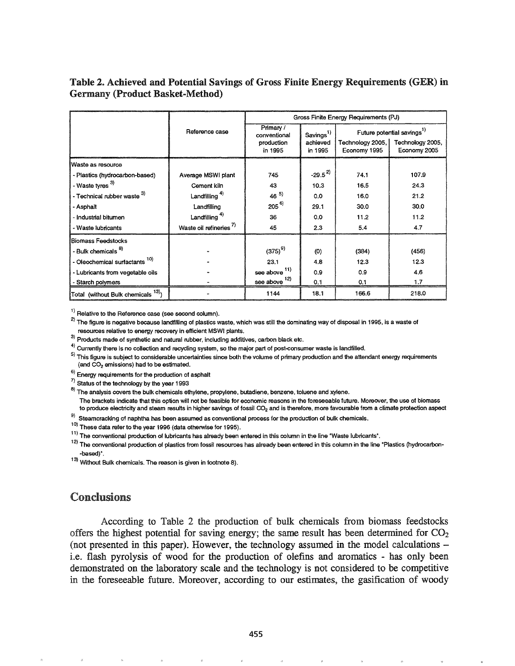# Table 2. Achieved and Potential Savings of Gross Finite Energy Requirements (GER) in Germany (Product Basket-Method)

|                                                |                                    | Gross Finite Energy Requirements (PJ)              |                                              |                                    |                                                                            |
|------------------------------------------------|------------------------------------|----------------------------------------------------|----------------------------------------------|------------------------------------|----------------------------------------------------------------------------|
|                                                | Reference case                     | Primary /<br>conventional<br>production<br>in 1995 | Savings <sup>1)</sup><br>achieved<br>in 1995 | Technology 2005, I<br>Economy 1995 | Future potential savings <sup>1)</sup><br>Technology 2005,<br>Economy 2005 |
| Waste as resource                              |                                    |                                                    |                                              |                                    |                                                                            |
| - Plastics (hydrocarbon-based)                 | Average MSWI plant                 | 745                                                | $-29.5^{2}$                                  | 74.1                               | 107.9                                                                      |
| - Waste tyres <sup>3)</sup>                    | Cement kiln                        | 43                                                 | 10.3                                         | 16.5                               | 24.3                                                                       |
| - Technical rubber waste 3)                    | Landfilling <sup>4)</sup>          | $46^{5}$                                           | 0.0                                          | 16.0                               | 21.2                                                                       |
| - Asphalt                                      | Landfilling                        | $205^{6}$                                          | 29.1                                         | 30.0                               | 30.0                                                                       |
| - Industrial bitumen                           | Landfilling <sup>4)</sup>          | 36                                                 | 0.0                                          | 11.2                               | 11.2                                                                       |
| - Waste lubricants                             | Waste oil refineries <sup>7)</sup> | 45                                                 | 2.3                                          | 5.4                                | 4.7                                                                        |
| Biomass Feedstocks                             |                                    |                                                    |                                              |                                    |                                                                            |
| - Bulk chemicals <sup>8)</sup>                 |                                    | $(375)^{9}$                                        | (0)                                          | (384)                              | (456)                                                                      |
| - Oleochemical surfactants <sup>10)</sup>      |                                    | 23.1                                               | 4.8                                          | 12.3                               | 12.3                                                                       |
| - Lubricants from vegetable oils               |                                    | see above $11$ )                                   | 0.9                                          | 0.9                                | 4.6                                                                        |
| - Starch polymers                              |                                    | $\frac{\text{see above}}{\text{.}}$ 12)            | 0.1                                          | 0.1                                | 1.7                                                                        |
| Total (without Bulk chemicals <sup>13)</sup> ) |                                    | 1144                                               | 18.1                                         | 166.6                              | 218.0                                                                      |

<sup>1)</sup> Relative to the Reference case (see second column).

 $^{2)}$  The figure is negative because landfilling of plastics waste, which was still the dominating way of disposal in 1995, is a waste of resources relative to energy recovery in efficient MSWI plants.

3) Products made of synthetic and natural rubber, including additives, carbon black etc.

 $4)$  Currently there is no collection and recycling system, so the major part of post-consumer waste is landfilled.

 $5)$  This figure is subject to considerable uncertainties since both the volume of primary production and the attendant energy requirements (and  $CO<sub>2</sub>$  emissions) had to be estimated.

6) Energy requirements for the production of asphalt

 $7$  Status of the technology by the year 1993

<sup>8)</sup> The analysis covers the bulk chemicals ethylene, propylene, butadiene, benzene, toluene and xylene.

The brackets indicate that this option will not be feasible for economic reasons in the foreseeable future. Moreover, the use of biomass to produce electricity and steam results in higher savings of fossil CO<sub>2</sub> and is therefore, more favourable from a climate protection aspect

 $9)$  Steamcracking of naphtha has been assumed as conventional process for the production of bulk chemicals.

 $10)$  These data refer to the year 1996 (data otherwise for 1995).

 $11$ ) The conventional production of lubricants has already been entered in this column in the line "Waste lubricants".

<sup>12)</sup> The conventional production of plastics from fossil resources has already been entered in this column in the line "Plastics (hydrocarbon--based)<sup>\*</sup>.

13) Without Bulk chemicals. The reason is given in footnote 8).

## Conclusions

According to Table 2 the production of bulk chemicals from biomass feedstocks offers the highest potential for saving energy; the same result has been determined for  $CO<sub>2</sub>$ (not presented in this paper). However, the technology assumed in the model calculations  $$ i.e. flash pyrolysis of wood for the production of olefins and aromatics - has only been demonstrated on the laboratory scale and the technology is not considered to be competitive in the foreseeable future. Moreover, according to our estimates, the gasification of woody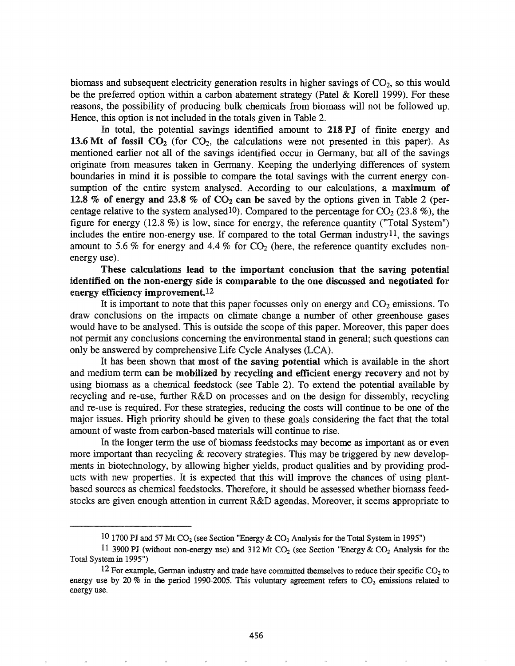biomass and subsequent electricity generation results in higher savings of  $CO<sub>2</sub>$ , so this would be the preferred option within a carbon abatement strategy (Patel & Korell 1999). For these reasons, the possibility of producing bulk chemicals from biomass will not be followed up. Hence, this option is not included in the totals given in Table 2.

In total, the potential savings identified amount to 218 PJ of finite energy and 13.6 Mt of fossil  $CO<sub>2</sub>$  (for  $CO<sub>2</sub>$ , the calculations were not presented in this paper). As mentioned earlier not all of the savings identified occur in Germany, but all of the savings originate from measures taken in Germany. Keeping the underlying differences of system boundaries in mind it is possible to compare the total savings with the current energy consumption of the entire system analysed. According to our calculations, a maximum of 12.8 % of energy and 23.8 % of  $CO<sub>2</sub>$  can be saved by the options given in Table 2 (percentage relative to the system analysed<sup>10</sup>). Compared to the percentage for  $CO_2$  (23.8 %), the figure for energy (12.8 %) is low, since for energy, the reference quantity ("Total System") includes the entire non-energy use. If compared to the total German industry<sup>11</sup>, the savings amount to 5.6 % for energy and 4.4 % for  $CO<sub>2</sub>$  (here, the reference quantity excludes nonenergy use).

These calculations lead to the important conclusion that the saving potential identified on the non-energy side is comparable to the one discussed and negotiated for energy efficiency improvement.12

It is important to note that this paper focusses only on energy and  $CO<sub>2</sub>$  emissions. To draw conclusions on the impacts on climate change a number of other greenhouse gases would have to be analysed. This is outside the scope of this paper. Moreover, this paper does not permit any conclusions concerning the environmental stand in general; such questions can only be answered by comprehensive Life Cycle Analyses (LCA).

It has been shown that most of the saving potential which is available in the short and medium term can be mobilized by recycling and efficient energy recovery and not by using biomass as a chemical feedstock (see Table 2). To extend the potential available by recycling and re-use, further R&D on processes and on the design for dissembly, recycling and fe-use is required. For these strategies, reducing the costs will continue to be one of the major issues. High priority should be given to these goals considering the fact that the total amount of waste from carbon-based materials will continue to rise.

In the longer term the use of biomass feedstocks may become as important as or even more important than recycling  $&$  recovery strategies. This may be triggered by new developments in biotechnology, by allowing higher yields, product qualities and by providing products with new properties. It is expected that this will improve the chances of using plantbased sources as chemical feedstocks. Therefore, it should be assessed whether biomass feedstocks are given enough attention in current R&D agendas. Moreover, it seems appropriate to

<sup>10 1700</sup> PJ and 57 Mt CO<sub>2</sub> (see Section "Energy & CO<sub>2</sub> Analysis for the Total System in 1995")

<sup>11 3900</sup> PJ (without non-energy use) and 312 Mt  $CO_2$  (see Section "Energy &  $CO_2$  Analysis for the Total System in 1995")

<sup>12</sup> For example, German industry and trade have committed themselves to reduce their specific  $CO<sub>2</sub>$  to energy use by 20 % in the period 1990-2005. This voluntary agreement refers to  $CO<sub>2</sub>$  emissions related to energy use.